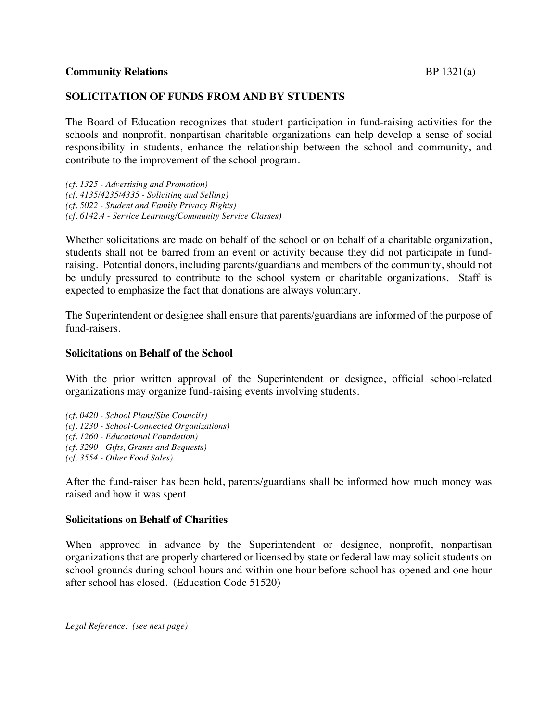# **Community Relations** BP 1321(a)

# **SOLICITATION OF FUNDS FROM AND BY STUDENTS**

The Board of Education recognizes that student participation in fund-raising activities for the schools and nonprofit, nonpartisan charitable organizations can help develop a sense of social responsibility in students, enhance the relationship between the school and community, and contribute to the improvement of the school program.

*(cf. 1325 - Advertising and Promotion) (cf. 4135/4235/4335 - Soliciting and Selling) (cf. 5022 - Student and Family Privacy Rights) (cf. 6142.4 - Service Learning/Community Service Classes)*

Whether solicitations are made on behalf of the school or on behalf of a charitable organization, students shall not be barred from an event or activity because they did not participate in fundraising. Potential donors, including parents/guardians and members of the community, should not be unduly pressured to contribute to the school system or charitable organizations. Staff is expected to emphasize the fact that donations are always voluntary.

The Superintendent or designee shall ensure that parents/guardians are informed of the purpose of fund-raisers.

### **Solicitations on Behalf of the School**

With the prior written approval of the Superintendent or designee, official school-related organizations may organize fund-raising events involving students.

*(cf. 0420 - School Plans/Site Councils) (cf. 1230 - School-Connected Organizations) (cf. 1260 - Educational Foundation) (cf. 3290 - Gifts, Grants and Bequests) (cf. 3554 - Other Food Sales)*

After the fund-raiser has been held, parents/guardians shall be informed how much money was raised and how it was spent.

#### **Solicitations on Behalf of Charities**

When approved in advance by the Superintendent or designee, nonprofit, nonpartisan organizations that are properly chartered or licensed by state or federal law may solicit students on school grounds during school hours and within one hour before school has opened and one hour after school has closed. (Education Code 51520)

*Legal Reference: (see next page)*